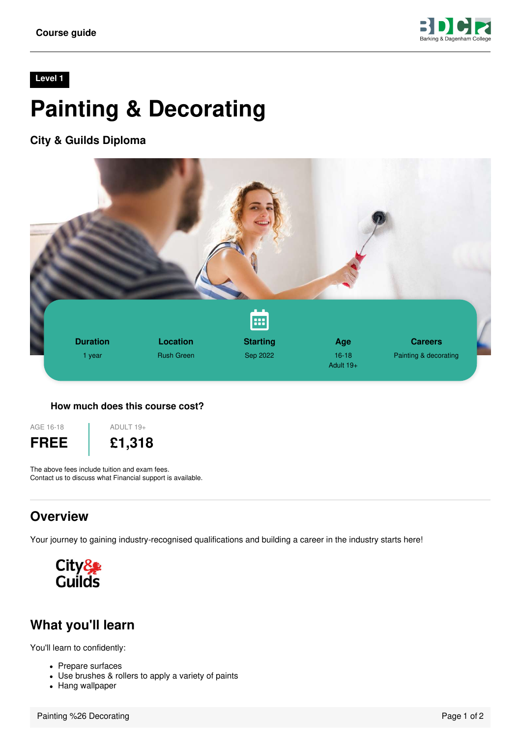

#### **Level 1**

# **Painting & Decorating**

**City & Guilds Diploma**



#### **How much does this course cost?**

AGE 16-18 **FREE**



The above fees include tuition and exam fees. Contact us to discuss what Financial support is available.

#### **Overview**

Your journey to gaining industry-recognised qualifications and building a career in the industry starts here!



### **What you'll learn**

You'll learn to confidently:

- Prepare surfaces
- Use brushes & rollers to apply a variety of paints
- Hang wallpaper